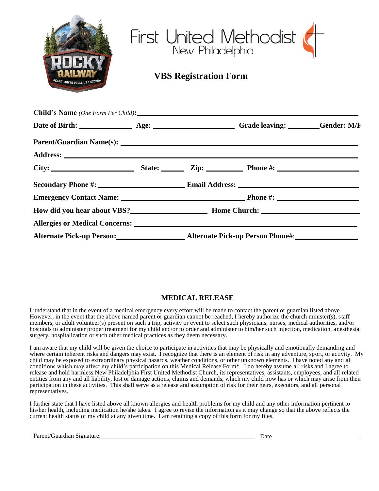| JESUS' POWER PULLS US THROUGH             | First United Methodist       |      |                 |  |  |
|-------------------------------------------|------------------------------|------|-----------------|--|--|
|                                           | <b>VBS Registration Form</b> |      |                 |  |  |
|                                           |                              |      |                 |  |  |
| <b>Child's Name</b> (One Form Per Child): |                              |      |                 |  |  |
|                                           |                              |      |                 |  |  |
|                                           |                              |      |                 |  |  |
|                                           |                              |      |                 |  |  |
| City:                                     | State: State:                | Zin: | <b>Phone</b> #: |  |  |

|                                          |  | City: State: Zip: Phone #: |
|------------------------------------------|--|----------------------------|
|                                          |  |                            |
|                                          |  |                            |
| How did you hear about VBS? Home Church: |  |                            |
|                                          |  |                            |
|                                          |  |                            |

## **MEDICAL RELEASE**

I understand that in the event of a medical emergency every effort will be made to contact the parent or guardian listed above. However, in the event that the above named parent or guardian cannot be reached, I hereby authorize the church minister(s), staff members, or adult volunteer(s) present on such a trip, activity or event to select such physicians, nurses, medical authorities, and/or hospitals to administer proper treatment for my child and/or to order and administer to him/her such injection, medication, anesthesia, surgery, hospitalization or such other medical practices as they deem necessary.

I am aware that my child will be given the choice to participate in activities that may be physically and emotionally demanding and where certain inherent risks and dangers may exist. I recognize that there is an element of risk in any adventure, sport, or activity. My child may be exposed to extraordinary physical hazards, weather conditions, or other unknown elements. I have noted any and all conditions which may affect my child's participation on this Medical Release Form\*. I do hereby assume all risks and I agree to release and hold harmless New Philadelphia First United Methodist Church, its representatives, assistants, employees, and all related entities from any and all liability, lost or damage actions, claims and demands, which my child now has or which may arise from their participation in these activities. This shall serve as a release and assumption of risk for their heirs, executors, and all personal representatives.

I further state that I have listed above all known allergies and health problems for my child and any other information pertinent to his/her health, including medication he/she takes. I agree to revise the information as it may change so that the above reflects the current health status of my child at any given time. I am retaining a copy of this form for my files.

Parent/Guardian Signature: Date